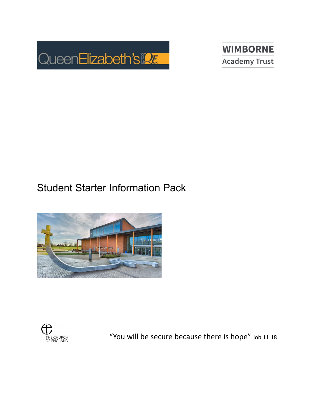



## Student Starter Information Pack





"You will be secure because there is hope" Job 11:18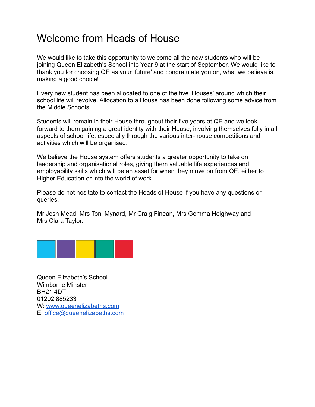## Welcome from Heads of House

We would like to take this opportunity to welcome all the new students who will be joining Queen Elizabeth's School into Year 9 at the start of September. We would like to thank you for choosing QE as your 'future' and congratulate you on, what we believe is, making a good choice!

Every new student has been allocated to one of the five 'Houses' around which their school life will revolve. Allocation to a House has been done following some advice from the Middle Schools.

Students will remain in their House throughout their five years at QE and we look forward to them gaining a great identity with their House; involving themselves fully in all aspects of school life, especially through the various inter-house competitions and activities which will be organised.

We believe the House system offers students a greater opportunity to take on leadership and organisational roles, giving them valuable life experiences and employability skills which will be an asset for when they move on from QE, either to Higher Education or into the world of work.

Please do not hesitate to contact the Heads of House if you have any questions or queries.

Mr Josh Mead, Mrs Toni Mynard, Mr Craig Finean, Mrs Gemma Heighway and Mrs Clara Taylor.



Queen Elizabeth's School Wimborne Minster BH21 4DT 01202 885233 W: [www.queenelizabeths.com](http://www.queenelizabeths.com) E: [office@queenelizabeths.com](mailto:office@queenelizabeths.com)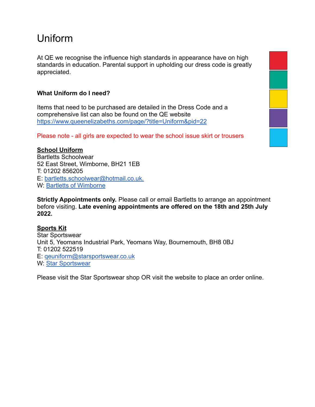## Uniform

At QE we recognise the influence high standards in appearance have on high standards in education. Parental support in upholding our dress code is greatly appreciated.

### **What Uniform do I need?**

Items that need to be purchased are detailed in the Dress Code and a comprehensive list can also be found on the QE website <https://www.queenelizabeths.com/page/?title=Uniform&pid=22>

Please note - all girls are expected to wear the school issue skirt or trousers

#### **School Uniform**

Bartletts Schoolwear 52 East Street, Wimborne, BH21 1EB T: 01202 856205 E: [bartletts.schoolwear@hotmail.co.uk.](mailto:bartletts.schoolwear@hotmail.co.uk) W: [Bartletts of Wimborne](https://bartlettsofwimborne.co.uk/)

**Strictly Appointments only.** Please call or email Bartletts to arrange an appointment before visiting. **Late evening appointments are offered on the 18th and 25th July 2022.**

### **Sports Kit**

Star Sportswear Unit 5, Yeomans Industrial Park, Yeomans Way, Bournemouth, BH8 0BJ T: 01202 522519 E: [qeuniform@starsportswear.co.uk](mailto:qeuniform@starsportswear.co.uk) W: [Star Sportswear](https://starsportswear.co.uk/product-category/qe/)

Please visit the Star Sportswear shop OR visit the website to place an order online.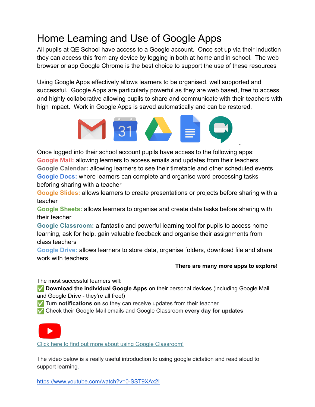# Home Learning and Use of Google Apps

All pupils at QE School have access to a Google account. Once set up via their induction they can access this from any device by logging in both at home and in school. The web browser or app Google Chrome is the best choice to support the use of these resources

Using Google Apps effectively allows learners to be organised, well supported and successful. Google Apps are particularly powerful as they are web based, free to access and highly collaborative allowing pupils to share and communicate with their teachers with high impact. Work in Google Apps is saved automatically and can be restored.



Once logged into their school account pupils have access to the following apps: **Google Mail:** allowing learners to access emails and updates from their teachers **Google Calendar:** allowing learners to see their timetable and other scheduled events **Google Docs:** where learners can complete and organise word processing tasks beforing sharing with a teacher

**Google Slides:** allows learners to create presentations or projects before sharing with a teacher

**Google Sheets:** allows learners to organise and create data tasks before sharing with their teacher

**Google Classroom:** a fantastic and powerful learning tool for pupils to access home learning, ask for help, gain valuable feedback and organise their assignments from class teachers

**Google Drive:** allows learners to store data, organise folders, download file and share work with teachers

#### **There are many more apps to explore!**

.

The most successful learners will:

✅ **Download the individual Google Apps** on their personal devices (including Google Mail and Google Drive - they're all free!)

✅ Turn **notifications on** so they can receive updates from their teacher

✅ Check their Google Mail emails and Google Classroom **every day for updates**



Click here to find out more about using Google [Classroom!](https://drive.google.com/file/d/1EqZi4BPCWF0P6EKESjVwlivPaywb8Ucw/view?usp=sharing)

The video below is a really useful introduction to using google dictation and read aloud to support learning.

<https://www.youtube.com/watch?v=0-SST9XAx2I>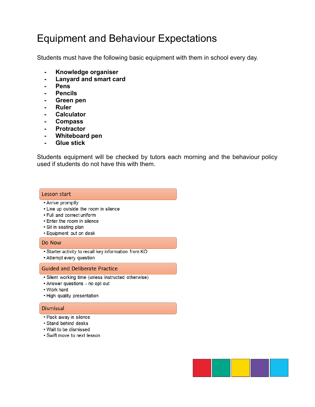## Equipment and Behaviour Expectations

Students must have the following basic equipment with them in school every day.

- **- Knowledge organiser**
- **- Lanyard and smart card**
- **- Pens**
- **- Pencils**
- **- Green pen**
- **- Ruler**
- **- Calculator**
- **- Compass**
- **- Protractor**
- **- Whiteboard pen**
- **- Glue stick**

Students equipment will be checked by tutors each morning and the behaviour policy used if students do not have this with them.

#### Lesson start

- Arrive promptly
- Line up outside the room in silence
- Full and correct uniform
- Enter the room in silence
- Sit in seating plan
- Equipment out on desk

#### Do Now

- · Starter activity to recall key information from KO
- Attempt every question

#### **Guided and Deliberate Practice**

- · Silent working time (unless instructed otherwise)
- Answer questions no opt out
- Work hard
- High quality presentation

#### **Dismissal**

- Pack away in silence
- · Stand behind desks
- Wait to be dismissed
- Swift move to next lesson

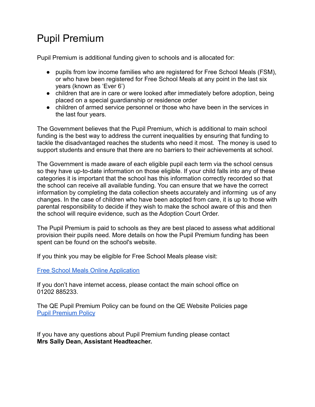# Pupil Premium

Pupil Premium is additional funding given to schools and is allocated for:

- pupils from low income families who are registered for Free School Meals (FSM), or who have been registered for Free School Meals at any point in the last six years (known as 'Ever 6')
- children that are in care or were looked after immediately before adoption, being placed on a special guardianship or residence order
- children of armed service personnel or those who have been in the services in the last four years.

The Government believes that the Pupil Premium, which is additional to main school funding is the best way to address the current inequalities by ensuring that funding to tackle the disadvantaged reaches the students who need it most. The money is used to support students and ensure that there are no barriers to their achievements at school.

The Government is made aware of each eligible pupil each term via the school census so they have up-to-date information on those eligible. If your child falls into any of these categories it is important that the school has this information correctly recorded so that the school can receive all available funding. You can ensure that we have the correct information by completing the data collection sheets accurately and informing us of any changes. In the case of children who have been adopted from care, it is up to those with parental responsibility to decide if they wish to make the school aware of this and then the school will require evidence, such as the Adoption Court Order.

The Pupil Premium is paid to schools as they are best placed to assess what additional provision their pupils need. More details on how the Pupil Premium funding has been spent can be found on the school's website.

If you think you may be eligible for Free School Meals please visit:

[Free School Meals Online Application](https://www.wimborneacademytrust.org/page/?title=Free+School+Meals+online+application&pid=50)

If you don't have internet access, please contact the main school office on 01202 885233.

The QE Pupil Premium Policy can be found on the QE Website Policies page [Pupil Premium Policy](https://www.queenelizabeths.com/_site/data/files/key-info-and-policies/204BF09DD25D6F666F54ED5C0A06B7E8.pdf)

If you have any questions about Pupil Premium funding please contact **Mrs Sally Dean, Assistant Headteacher.**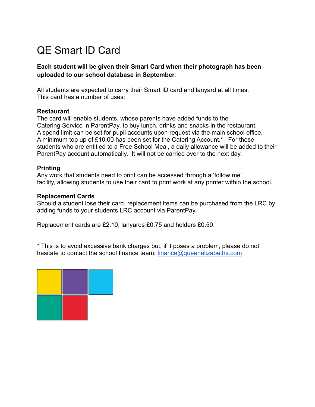# QE Smart ID Card

### **Each student will be given their Smart Card when their photograph has been uploaded to our school database in September.**

All students are expected to carry their Smart ID card and lanyard at all times. This card has a number of uses:

#### **Restaurant**

The card will enable students, whose parents have added funds to the Catering Service in ParentPay, to buy lunch, drinks and snacks in the restaurant. A spend limit can be set for pupil accounts upon request via the main school office. A minimum top up of £10.00 has been set for the Catering Account.\* For those students who are entitled to a Free School Meal, a daily allowance will be added to their ParentPay account automatically. It will not be carried over to the next day.

#### **Printing**

Any work that students need to print can be accessed through a 'follow me' facility, allowing students to use their card to print work at any printer within the school.

#### **Replacement Cards**

Should a student lose their card, replacement items can be purchased from the LRC by adding funds to your students LRC account via ParentPay.

Replacement cards are £2.10, lanyards £0.75 and holders £0.50.

\* This is to avoid excessive bank charges but, if it poses a problem, please do not hesitate to contact the school finance team: [finance@queenelizabeths.com](mailto:finance@queenelizabeths.com)

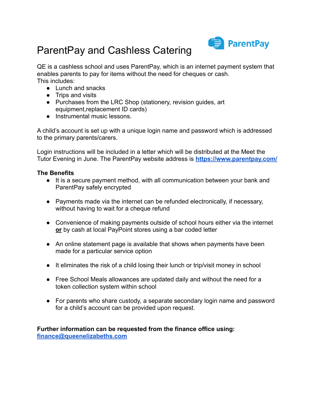

# ParentPay and Cashless Catering

QE is a cashless school and uses ParentPay, which is an internet payment system that enables parents to pay for items without the need for cheques or cash. This includes:

- Lunch and snacks
- Trips and visits
- Purchases from the LRC Shop (stationery, revision guides, art equipment,replacement ID cards)
- Instrumental music lessons.

A child's account is set up with a unique login name and password which is addressed to the primary parents/carers.

Login instructions will be included in a letter which will be distributed at the Meet the Tutor Evening in June. The ParentPay website address is **<https://www.parentpay.com/>**

#### **The Benefits**

- It is a secure payment method, with all communication between your bank and ParentPay safely encrypted
- Payments made via the internet can be refunded electronically, if necessary, without having to wait for a cheque refund
- Convenience of making payments outside of school hours either via the internet **or** by cash at local PayPoint stores using a bar coded letter
- An online statement page is available that shows when payments have been made for a particular service option
- It eliminates the risk of a child losing their lunch or trip/visit money in school
- Free School Meals allowances are updated daily and without the need for a token collection system within school
- For parents who share custody, a separate secondary login name and password for a child's account can be provided upon request.

**Further information can be requested from the finance office using: [finance@queenelizabeths.com](mailto:finance@queenelizabeths.com)**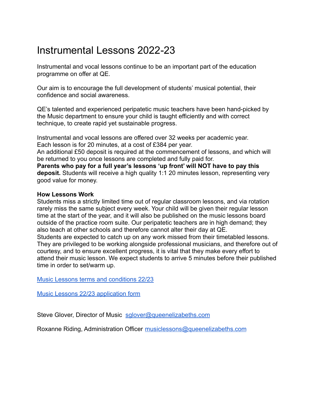## Instrumental Lessons 2022-23

Instrumental and vocal lessons continue to be an important part of the education programme on offer at QE.

Our aim is to encourage the full development of students' musical potential, their confidence and social awareness.

QE's talented and experienced peripatetic music teachers have been hand-picked by the Music department to ensure your child is taught efficiently and with correct technique, to create rapid yet sustainable progress.

Instrumental and vocal lessons are offered over 32 weeks per academic year. Each lesson is for 20 minutes, at a cost of £384 per year.

An additional £50 deposit is required at the commencement of lessons, and which will be returned to you once lessons are completed and fully paid for.

**Parents who pay for a full year's lessons 'up front' will NOT have to pay this deposit.** Students will receive a high quality 1:1 20 minutes lesson, representing very good value for money.

#### **How Lessons Work**

Students miss a strictly limited time out of regular classroom lessons, and via rotation rarely miss the same subject every week. Your child will be given their regular lesson time at the start of the year, and it will also be published on the music lessons board outside of the practice room suite. Our peripatetic teachers are in high demand; they also teach at other schools and therefore cannot alter their day at QE.

Students are expected to catch up on any work missed from their timetabled lessons. They are privileged to be working alongside professional musicians, and therefore out of courtesy, and to ensure excellent progress, it is vital that they make every effort to attend their music lesson. We expect students to arrive 5 minutes before their published time in order to set/warm up.

[Music Lessons terms and conditions 22/23](https://drive.google.com/file/d/1ayTtz86aslYw7oNi0a97NbmZGxTdqz-S/view?usp=sharing)

[Music Lessons 22/23 application form](https://forms.gle/L9GdHZJtXpU528VS9)

Steve Glover, Director of Music [sglover@queenelizabeths.com](mailto:sglover@queenelizabeths.com)

Roxanne Riding, Administration Officer [musiclessons@queenelizabeths.com](mailto:musiclessons@queenelizabeths.com)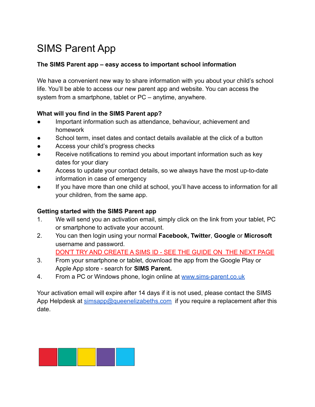# SIMS Parent App

### **The SIMS Parent app – easy access to important school information**

We have a convenient new way to share information with you about your child's school life. You'll be able to access our new parent app and website. You can access the system from a smartphone, tablet or PC – anytime, anywhere.

### **What will you find in the SIMS Parent app?**

- Important information such as attendance, behaviour, achievement and homework
- School term, inset dates and contact details available at the click of a button
- Access your child's progress checks
- Receive notifications to remind you about important information such as key dates for your diary
- Access to update your contact details, so we always have the most up-to-date information in case of emergency
- If you have more than one child at school, you'll have access to information for all your children, from the same app.

### **Getting started with the SIMS Parent app**

- 1. We will send you an activation email, simply click on the link from your tablet, PC or smartphone to activate your account.
- 2. You can then login using your normal **Facebook, Twitter**, **Google** or **Microsoft** username and password.

DON'T TRY AND CREATE A SIMS ID - SEE THE GUIDE ON THE NEXT PAGE

- 3. From your smartphone or tablet, download the app from the Google Play or Apple App store - search for **SIMS Parent.**
- 4. From a PC or Windows phone, login online at [www.sims-parent.co.uk](http://www.sims-parent.co.uk/)

Your activation email will expire after 14 days if it is not used, please contact the SIMS App Helpdesk at [simsapp@queenelizabeths.com](mailto:simsapp@queenelizabeths.com) if you require a replacement after this date.

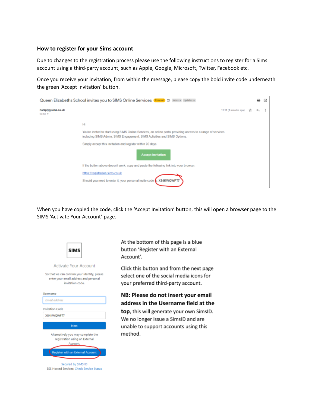#### **How to register for your Sims account**

Due to changes to the registration process please use the following instructions to register for a Sims account using a third-party account, such as Apple, Google, Microsoft, Twitter, Facebook etc.

Once you receive your invitation, from within the message, please copy the bold invite code underneath the green 'Accept Invitation' button.



When you have copied the code, click the 'Accept Invitation' button, this will open a browser page to the SIMS 'Activate Your Account' page.



At the bottom of this page is a blue button 'Register with an External Account'.

Click this button and from the next page select one of the social media icons for your preferred third-party account.

### NB: Please do not insert your email address in the Username field at the

top, this will generate your own SimsID. We no longer issue a SimsID and are unable to support accounts using this method.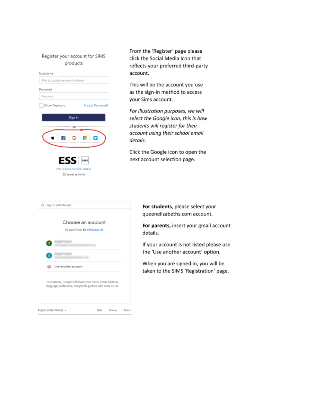#### Register your account for SIMS products



From the 'Register' page please click the Social Media Icon that reflects your preferred third-party account.

This will be the account you use as the sign-in method to access your Sims account.

For illustration purposes, we will select the Google icon, this is how students will register for their account using their school email details.

Click the Google icon to open the next account selection page.

|   | G Sign in with Google                                                                                                 |  |  |
|---|-----------------------------------------------------------------------------------------------------------------------|--|--|
|   | Choose an account<br>to continue to sims.co.uk                                                                        |  |  |
| s |                                                                                                                       |  |  |
| s |                                                                                                                       |  |  |
| ☺ | Use another account                                                                                                   |  |  |
|   | To continue, Google will share your name, email address,<br>language preference, and profile picture with sims.co.uk. |  |  |
|   |                                                                                                                       |  |  |

For students, please select your queenelizabeths.com account.

For parents, insert your gmail account details.

If your account is not listed please use the 'Use another account' option.

When you are signed in, you will be taken to the SIMS 'Registration' page.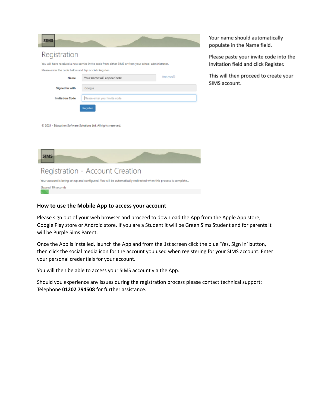| Registration<br>You will have received a new service invite code from either SIMS or from your school administrator. |            |  |  |  |  |  |  |  |
|----------------------------------------------------------------------------------------------------------------------|------------|--|--|--|--|--|--|--|
|                                                                                                                      |            |  |  |  |  |  |  |  |
|                                                                                                                      |            |  |  |  |  |  |  |  |
| Please enter the code below and tap or click Register.                                                               |            |  |  |  |  |  |  |  |
| Your name will appear here<br>Name                                                                                   | (not you?) |  |  |  |  |  |  |  |
| Signed in with<br>Google                                                                                             |            |  |  |  |  |  |  |  |
| <b>Invitation Code</b><br>Please enter your Invite code                                                              |            |  |  |  |  |  |  |  |
| Register                                                                                                             |            |  |  |  |  |  |  |  |
|                                                                                                                      |            |  |  |  |  |  |  |  |

Your name should automatically populate in the Name field.

Please paste your invite code into the Invitation field and click Register.

This will then proceed to create your SIMS account.

C 2021 - Education Software Solutions Ltd. All rights reserved.

| <b>SIMS</b>                                                                                                     |  |
|-----------------------------------------------------------------------------------------------------------------|--|
| Registration - Account Creation                                                                                 |  |
| Your account is being set up and configured. You will be automatically redirected when this process is complete |  |

Elapsed 10 seconds

#### **How to use the Mobile App to access your account**

Please sign out of your web browser and proceed to download the App from the Apple App store, Google Play store or Android store. If you are a Student it will be Green Sims Student and for parents it will be Purple Sims Parent.

Once the App is installed, launch the App and from the 1st screen click the blue 'Yes, Sign In' button, then click the social media icon for the account you used when registering for your SIMS account. Enter your personal credentials for your account.

You will then be able to access your SIMS account via the App.

Should you experience any issues during the registration process please contact technical support: Telephone **01202 794508** for further assistance.